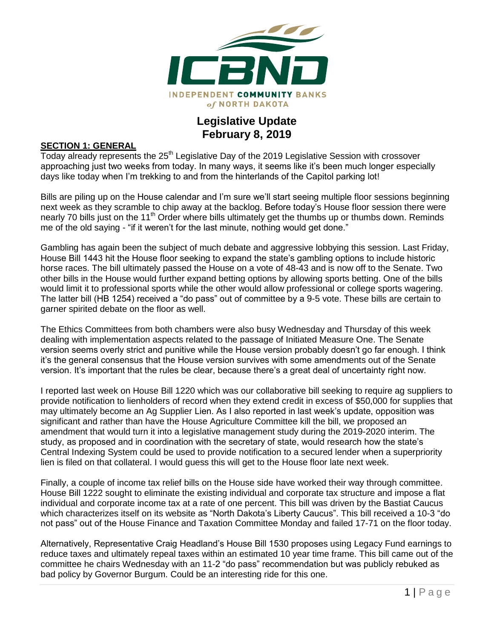

# **Legislative Update February 8, 2019**

#### **SECTION 1: GENERAL**

Today already represents the 25<sup>th</sup> Legislative Day of the 2019 Legislative Session with crossover approaching just two weeks from today. In many ways, it seems like it's been much longer especially days like today when I'm trekking to and from the hinterlands of the Capitol parking lot!

Bills are piling up on the House calendar and I'm sure we'll start seeing multiple floor sessions beginning next week as they scramble to chip away at the backlog. Before today's House floor session there were nearly 70 bills just on the 11<sup>th</sup> Order where bills ultimately get the thumbs up or thumbs down. Reminds me of the old saying - "if it weren't for the last minute, nothing would get done."

Gambling has again been the subject of much debate and aggressive lobbying this session. Last Friday, House Bill 1443 hit the House floor seeking to expand the state's gambling options to include historic horse races. The bill ultimately passed the House on a vote of 48-43 and is now off to the Senate. Two other bills in the House would further expand betting options by allowing sports betting. One of the bills would limit it to professional sports while the other would allow professional or college sports wagering. The latter bill (HB 1254) received a "do pass" out of committee by a 9-5 vote. These bills are certain to garner spirited debate on the floor as well.

The Ethics Committees from both chambers were also busy Wednesday and Thursday of this week dealing with implementation aspects related to the passage of Initiated Measure One. The Senate version seems overly strict and punitive while the House version probably doesn't go far enough. I think it's the general consensus that the House version survives with some amendments out of the Senate version. It's important that the rules be clear, because there's a great deal of uncertainty right now.

I reported last week on House Bill 1220 which was our collaborative bill seeking to require ag suppliers to provide notification to lienholders of record when they extend credit in excess of \$50,000 for supplies that may ultimately become an Ag Supplier Lien. As I also reported in last week's update, opposition was significant and rather than have the House Agriculture Committee kill the bill, we proposed an amendment that would turn it into a legislative management study during the 2019-2020 interim. The study, as proposed and in coordination with the secretary of state, would research how the state's Central Indexing System could be used to provide notification to a secured lender when a superpriority lien is filed on that collateral. I would guess this will get to the House floor late next week.

Finally, a couple of income tax relief bills on the House side have worked their way through committee. House Bill 1222 sought to eliminate the existing individual and corporate tax structure and impose a flat individual and corporate income tax at a rate of one percent. This bill was driven by the Bastiat Caucus which characterizes itself on its website as "North Dakota's Liberty Caucus". This bill received a 10-3 "do not pass" out of the House Finance and Taxation Committee Monday and failed 17-71 on the floor today.

Alternatively, Representative Craig Headland's House Bill 1530 proposes using Legacy Fund earnings to reduce taxes and ultimately repeal taxes within an estimated 10 year time frame. This bill came out of the committee he chairs Wednesday with an 11-2 "do pass" recommendation but was publicly rebuked as bad policy by Governor Burgum. Could be an interesting ride for this one.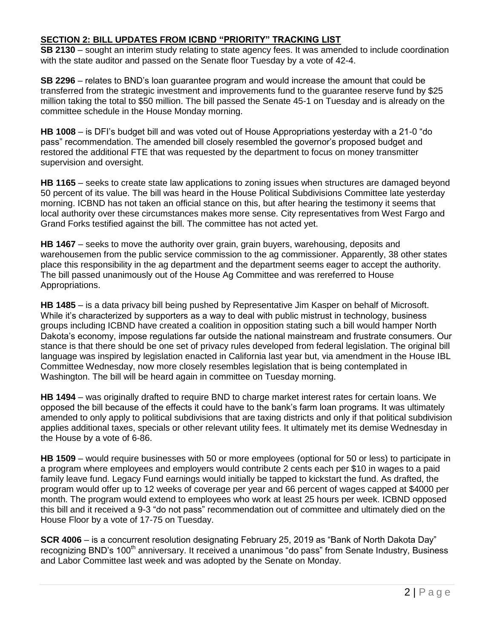## **SECTION 2: BILL UPDATES FROM ICBND "PRIORITY" TRACKING LIST**

**SB 2130** – sought an interim study relating to state agency fees. It was amended to include coordination with the state auditor and passed on the Senate floor Tuesday by a vote of 42-4.

**SB 2296** – relates to BND's loan guarantee program and would increase the amount that could be transferred from the strategic investment and improvements fund to the guarantee reserve fund by \$25 million taking the total to \$50 million. The bill passed the Senate 45-1 on Tuesday and is already on the committee schedule in the House Monday morning.

**HB 1008** – is DFI's budget bill and was voted out of House Appropriations yesterday with a 21-0 "do pass" recommendation. The amended bill closely resembled the governor's proposed budget and restored the additional FTE that was requested by the department to focus on money transmitter supervision and oversight.

**HB 1165** – seeks to create state law applications to zoning issues when structures are damaged beyond 50 percent of its value. The bill was heard in the House Political Subdivisions Committee late yesterday morning. ICBND has not taken an official stance on this, but after hearing the testimony it seems that local authority over these circumstances makes more sense. City representatives from West Fargo and Grand Forks testified against the bill. The committee has not acted yet.

**HB 1467** – seeks to move the authority over grain, grain buyers, warehousing, deposits and warehousemen from the public service commission to the ag commissioner. Apparently, 38 other states place this responsibility in the ag department and the department seems eager to accept the authority. The bill passed unanimously out of the House Ag Committee and was rereferred to House Appropriations.

**HB 1485** – is a data privacy bill being pushed by Representative Jim Kasper on behalf of Microsoft. While it's characterized by supporters as a way to deal with public mistrust in technology, business groups including ICBND have created a coalition in opposition stating such a bill would hamper North Dakota's economy, impose regulations far outside the national mainstream and frustrate consumers. Our stance is that there should be one set of privacy rules developed from federal legislation. The original bill language was inspired by legislation enacted in California last year but, via amendment in the House IBL Committee Wednesday, now more closely resembles legislation that is being contemplated in Washington. The bill will be heard again in committee on Tuesday morning.

**HB 1494** – was originally drafted to require BND to charge market interest rates for certain loans. We opposed the bill because of the effects it could have to the bank's farm loan programs. It was ultimately amended to only apply to political subdivisions that are taxing districts and only if that political subdivision applies additional taxes, specials or other relevant utility fees. It ultimately met its demise Wednesday in the House by a vote of 6-86.

**HB 1509** – would require businesses with 50 or more employees (optional for 50 or less) to participate in a program where employees and employers would contribute 2 cents each per \$10 in wages to a paid family leave fund. Legacy Fund earnings would initially be tapped to kickstart the fund. As drafted, the program would offer up to 12 weeks of coverage per year and 66 percent of wages capped at \$4000 per month. The program would extend to employees who work at least 25 hours per week. ICBND opposed this bill and it received a 9-3 "do not pass" recommendation out of committee and ultimately died on the House Floor by a vote of 17-75 on Tuesday.

**SCR 4006** – is a concurrent resolution designating February 25, 2019 as "Bank of North Dakota Day" recognizing BND's 100<sup>th</sup> anniversary. It received a unanimous "do pass" from Senate Industry, Business and Labor Committee last week and was adopted by the Senate on Monday.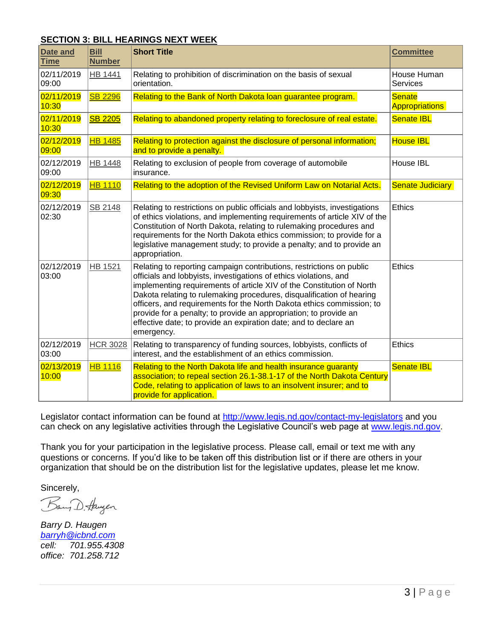### **SECTION 3: BILL HEARINGS NEXT WEEK**

| Date and<br><b>Time</b> | <b>Bill</b><br><b>Number</b> | <b>Short Title</b>                                                                                                                                                                                                                                                                                                                                                                                                                                                                                                          | <b>Committee</b>                       |
|-------------------------|------------------------------|-----------------------------------------------------------------------------------------------------------------------------------------------------------------------------------------------------------------------------------------------------------------------------------------------------------------------------------------------------------------------------------------------------------------------------------------------------------------------------------------------------------------------------|----------------------------------------|
| 02/11/2019<br>09:00     | <b>HB 1441</b>               | Relating to prohibition of discrimination on the basis of sexual<br>orientation.                                                                                                                                                                                                                                                                                                                                                                                                                                            | House Human<br>Services                |
| 02/11/2019<br>10:30     | <b>SB 2296</b>               | Relating to the Bank of North Dakota loan guarantee program.                                                                                                                                                                                                                                                                                                                                                                                                                                                                | <b>Senate</b><br><b>Appropriations</b> |
| 02/11/2019<br>10:30     | <b>SB 2205</b>               | Relating to abandoned property relating to foreclosure of real estate.                                                                                                                                                                                                                                                                                                                                                                                                                                                      | <b>Senate IBL</b>                      |
| 02/12/2019<br>09:00     | <b>HB 1485</b>               | Relating to protection against the disclosure of personal information;<br>and to provide a penalty.                                                                                                                                                                                                                                                                                                                                                                                                                         | <b>House IBL</b>                       |
| 02/12/2019<br>09:00     | <b>HB 1448</b>               | Relating to exclusion of people from coverage of automobile<br>insurance.                                                                                                                                                                                                                                                                                                                                                                                                                                                   | House IBL                              |
| 02/12/2019<br>09:30     | <b>HB 1110</b>               | Relating to the adoption of the Revised Uniform Law on Notarial Acts.                                                                                                                                                                                                                                                                                                                                                                                                                                                       | <b>Senate Judiciary</b>                |
| 02/12/2019<br>02:30     | SB 2148                      | Relating to restrictions on public officials and lobbyists, investigations<br>of ethics violations, and implementing requirements of article XIV of the<br>Constitution of North Dakota, relating to rulemaking procedures and<br>requirements for the North Dakota ethics commission; to provide for a<br>legislative management study; to provide a penalty; and to provide an<br>appropriation.                                                                                                                          | <b>Ethics</b>                          |
| 02/12/2019<br>03:00     | <b>HB 1521</b>               | Relating to reporting campaign contributions, restrictions on public<br>officials and lobbyists, investigations of ethics violations, and<br>implementing requirements of article XIV of the Constitution of North<br>Dakota relating to rulemaking procedures, disqualification of hearing<br>officers, and requirements for the North Dakota ethics commission; to<br>provide for a penalty; to provide an appropriation; to provide an<br>effective date; to provide an expiration date; and to declare an<br>emergency. | <b>Ethics</b>                          |
| 02/12/2019<br>03:00     | <b>HCR 3028</b>              | Relating to transparency of funding sources, lobbyists, conflicts of<br>interest, and the establishment of an ethics commission.                                                                                                                                                                                                                                                                                                                                                                                            | <b>Ethics</b>                          |
| 02/13/2019<br>10:00     | <b>HB 1116</b>               | Relating to the North Dakota life and health insurance guaranty<br>association; to repeal section 26.1-38.1-17 of the North Dakota Century<br>Code, relating to application of laws to an insolvent insurer; and to<br>provide for application.                                                                                                                                                                                                                                                                             | <b>Senate IBL</b>                      |

Legislator contact information can be found at<http://www.legis.nd.gov/contact-my-legislators> and you can check on any legislative activities through the Legislative Council's web page at [www.legis.nd.gov.](http://www.legis.nd.gov/)

Thank you for your participation in the legislative process. Please call, email or text me with any questions or concerns. If you'd like to be taken off this distribution list or if there are others in your organization that should be on the distribution list for the legislative updates, please let me know.

Sincerely,

Bang D. Haugen

*Barry D. Haugen [barryh@icbnd.com](mailto:barryh@icbnd.com) cell: 701.955.4308 office: 701.258.712*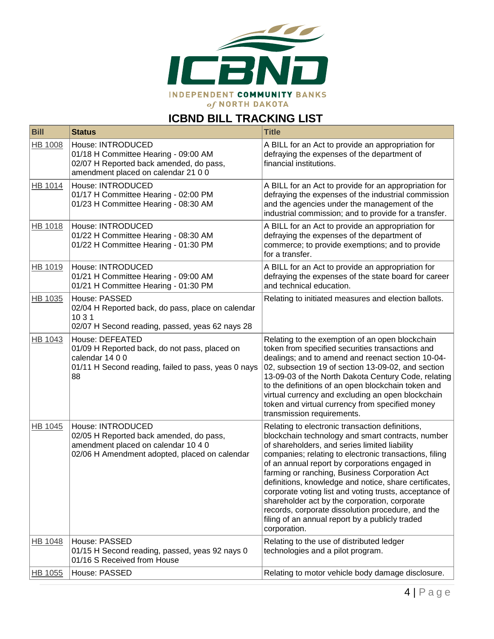

# **ICBND BILL TRACKING LIST**

| <b>Bill</b>    | <b>Status</b>                                                                                                                                        | <b>Title</b>                                                                                                                                                                                                                                                                                                                                                                                                                                                                                                                                                                                                    |
|----------------|------------------------------------------------------------------------------------------------------------------------------------------------------|-----------------------------------------------------------------------------------------------------------------------------------------------------------------------------------------------------------------------------------------------------------------------------------------------------------------------------------------------------------------------------------------------------------------------------------------------------------------------------------------------------------------------------------------------------------------------------------------------------------------|
| HB 1008        | House: INTRODUCED<br>01/18 H Committee Hearing - 09:00 AM<br>02/07 H Reported back amended, do pass,<br>amendment placed on calendar 21 0 0          | A BILL for an Act to provide an appropriation for<br>defraying the expenses of the department of<br>financial institutions.                                                                                                                                                                                                                                                                                                                                                                                                                                                                                     |
| <b>HB 1014</b> | House: INTRODUCED<br>01/17 H Committee Hearing - 02:00 PM<br>01/23 H Committee Hearing - 08:30 AM                                                    | A BILL for an Act to provide for an appropriation for<br>defraying the expenses of the industrial commission<br>and the agencies under the management of the<br>industrial commission; and to provide for a transfer.                                                                                                                                                                                                                                                                                                                                                                                           |
| HB 1018        | House: INTRODUCED<br>01/22 H Committee Hearing - 08:30 AM<br>01/22 H Committee Hearing - 01:30 PM                                                    | A BILL for an Act to provide an appropriation for<br>defraying the expenses of the department of<br>commerce; to provide exemptions; and to provide<br>for a transfer.                                                                                                                                                                                                                                                                                                                                                                                                                                          |
| HB 1019        | House: INTRODUCED<br>01/21 H Committee Hearing - 09:00 AM<br>01/21 H Committee Hearing - 01:30 PM                                                    | A BILL for an Act to provide an appropriation for<br>defraying the expenses of the state board for career<br>and technical education.                                                                                                                                                                                                                                                                                                                                                                                                                                                                           |
| HB 1035        | House: PASSED<br>02/04 H Reported back, do pass, place on calendar<br>10 3 1<br>02/07 H Second reading, passed, yeas 62 nays 28                      | Relating to initiated measures and election ballots.                                                                                                                                                                                                                                                                                                                                                                                                                                                                                                                                                            |
| HB 1043        | House: DEFEATED<br>01/09 H Reported back, do not pass, placed on<br>calendar 14 0 0<br>01/11 H Second reading, failed to pass, yeas 0 nays<br>88     | Relating to the exemption of an open blockchain<br>token from specified securities transactions and<br>dealings; and to amend and reenact section 10-04-<br>02, subsection 19 of section 13-09-02, and section<br>13-09-03 of the North Dakota Century Code, relating<br>to the definitions of an open blockchain token and<br>virtual currency and excluding an open blockchain<br>token and virtual currency from specified money<br>transmission requirements.                                                                                                                                               |
| HB 1045        | House: INTRODUCED<br>02/05 H Reported back amended, do pass,<br>amendment placed on calendar 10 4 0<br>02/06 H Amendment adopted, placed on calendar | Relating to electronic transaction definitions,<br>blockchain technology and smart contracts, number<br>of shareholders, and series limited liability<br>companies; relating to electronic transactions, filing<br>of an annual report by corporations engaged in<br>farming or ranching, Business Corporation Act<br>definitions, knowledge and notice, share certificates,<br>corporate voting list and voting trusts, acceptance of<br>shareholder act by the corporation, corporate<br>records, corporate dissolution procedure, and the<br>filing of an annual report by a publicly traded<br>corporation. |
| HB 1048        | House: PASSED<br>01/15 H Second reading, passed, yeas 92 nays 0<br>01/16 S Received from House                                                       | Relating to the use of distributed ledger<br>technologies and a pilot program.                                                                                                                                                                                                                                                                                                                                                                                                                                                                                                                                  |
| HB 1055        | House: PASSED                                                                                                                                        | Relating to motor vehicle body damage disclosure.                                                                                                                                                                                                                                                                                                                                                                                                                                                                                                                                                               |
|                |                                                                                                                                                      |                                                                                                                                                                                                                                                                                                                                                                                                                                                                                                                                                                                                                 |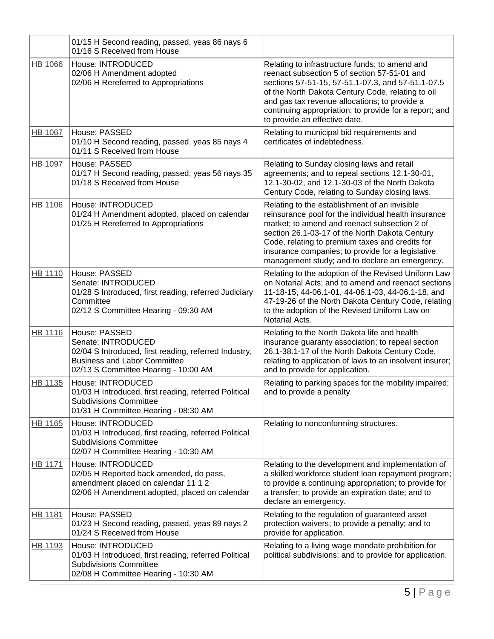|                | 01/15 H Second reading, passed, yeas 86 nays 6<br>01/16 S Received from House                                                                                               |                                                                                                                                                                                                                                                                                                                                                                   |
|----------------|-----------------------------------------------------------------------------------------------------------------------------------------------------------------------------|-------------------------------------------------------------------------------------------------------------------------------------------------------------------------------------------------------------------------------------------------------------------------------------------------------------------------------------------------------------------|
| <b>HB 1066</b> | House: INTRODUCED<br>02/06 H Amendment adopted<br>02/06 H Rereferred to Appropriations                                                                                      | Relating to infrastructure funds; to amend and<br>reenact subsection 5 of section 57-51-01 and<br>sections 57-51-15, 57-51.1-07.3, and 57-51.1-07.5<br>of the North Dakota Century Code, relating to oil<br>and gas tax revenue allocations; to provide a<br>continuing appropriation; to provide for a report; and<br>to provide an effective date.              |
| HB 1067        | House: PASSED<br>01/10 H Second reading, passed, yeas 85 nays 4<br>01/11 S Received from House                                                                              | Relating to municipal bid requirements and<br>certificates of indebtedness.                                                                                                                                                                                                                                                                                       |
| HB 1097        | House: PASSED<br>01/17 H Second reading, passed, yeas 56 nays 35<br>01/18 S Received from House                                                                             | Relating to Sunday closing laws and retail<br>agreements; and to repeal sections 12.1-30-01,<br>12.1-30-02, and 12.1-30-03 of the North Dakota<br>Century Code, relating to Sunday closing laws.                                                                                                                                                                  |
| HB 1106        | House: INTRODUCED<br>01/24 H Amendment adopted, placed on calendar<br>01/25 H Rereferred to Appropriations                                                                  | Relating to the establishment of an invisible<br>reinsurance pool for the individual health insurance<br>market; to amend and reenact subsection 2 of<br>section 26.1-03-17 of the North Dakota Century<br>Code, relating to premium taxes and credits for<br>insurance companies; to provide for a legislative<br>management study; and to declare an emergency. |
| <b>HB 1110</b> | House: PASSED<br>Senate: INTRODUCED<br>01/28 S Introduced, first reading, referred Judiciary<br>Committee<br>02/12 S Committee Hearing - 09:30 AM                           | Relating to the adoption of the Revised Uniform Law<br>on Notarial Acts; and to amend and reenact sections<br>11-18-15, 44-06.1-01, 44-06.1-03, 44-06.1-18, and<br>47-19-26 of the North Dakota Century Code, relating<br>to the adoption of the Revised Uniform Law on<br>Notarial Acts.                                                                         |
| HB 1116        | House: PASSED<br>Senate: INTRODUCED<br>02/04 S Introduced, first reading, referred Industry,<br><b>Business and Labor Committee</b><br>02/13 S Committee Hearing - 10:00 AM | Relating to the North Dakota life and health<br>insurance guaranty association; to repeal section<br>26.1-38.1-17 of the North Dakota Century Code,<br>relating to application of laws to an insolvent insurer;<br>and to provide for application.                                                                                                                |
| HB 1135        | House: INTRODUCED<br>01/03 H Introduced, first reading, referred Political<br><b>Subdivisions Committee</b><br>01/31 H Committee Hearing - 08:30 AM                         | Relating to parking spaces for the mobility impaired;<br>and to provide a penalty.                                                                                                                                                                                                                                                                                |
| HB 1165        | House: INTRODUCED<br>01/03 H Introduced, first reading, referred Political<br><b>Subdivisions Committee</b><br>02/07 H Committee Hearing - 10:30 AM                         | Relating to nonconforming structures.                                                                                                                                                                                                                                                                                                                             |
| <b>HB 1171</b> | House: INTRODUCED<br>02/05 H Reported back amended, do pass,<br>amendment placed on calendar 11 1 2<br>02/06 H Amendment adopted, placed on calendar                        | Relating to the development and implementation of<br>a skilled workforce student loan repayment program;<br>to provide a continuing appropriation; to provide for<br>a transfer; to provide an expiration date; and to<br>declare an emergency.                                                                                                                   |
| HB 1181        | House: PASSED<br>01/23 H Second reading, passed, yeas 89 nays 2<br>01/24 S Received from House                                                                              | Relating to the regulation of guaranteed asset<br>protection waivers; to provide a penalty; and to<br>provide for application.                                                                                                                                                                                                                                    |
| HB 1193        | House: INTRODUCED<br>01/03 H Introduced, first reading, referred Political<br><b>Subdivisions Committee</b><br>02/08 H Committee Hearing - 10:30 AM                         | Relating to a living wage mandate prohibition for<br>political subdivisions; and to provide for application.                                                                                                                                                                                                                                                      |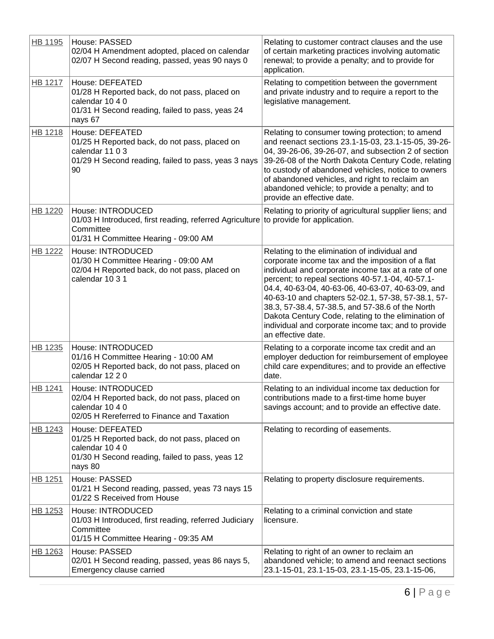| HB 1195        | House: PASSED<br>02/04 H Amendment adopted, placed on calendar<br>02/07 H Second reading, passed, yeas 90 nays 0                                  | Relating to customer contract clauses and the use<br>of certain marketing practices involving automatic<br>renewal; to provide a penalty; and to provide for<br>application.                                                                                                                                                                                                                                                                                                                                      |
|----------------|---------------------------------------------------------------------------------------------------------------------------------------------------|-------------------------------------------------------------------------------------------------------------------------------------------------------------------------------------------------------------------------------------------------------------------------------------------------------------------------------------------------------------------------------------------------------------------------------------------------------------------------------------------------------------------|
| <b>HB 1217</b> | House: DEFEATED<br>01/28 H Reported back, do not pass, placed on<br>calendar 10 4 0<br>01/31 H Second reading, failed to pass, yeas 24<br>nays 67 | Relating to competition between the government<br>and private industry and to require a report to the<br>legislative management.                                                                                                                                                                                                                                                                                                                                                                                  |
| <b>HB 1218</b> | House: DEFEATED<br>01/25 H Reported back, do not pass, placed on<br>calendar 11 0 3<br>01/29 H Second reading, failed to pass, yeas 3 nays<br>90  | Relating to consumer towing protection; to amend<br>and reenact sections 23.1-15-03, 23.1-15-05, 39-26-<br>04, 39-26-06, 39-26-07, and subsection 2 of section<br>39-26-08 of the North Dakota Century Code, relating<br>to custody of abandoned vehicles, notice to owners<br>of abandoned vehicles, and right to reclaim an<br>abandoned vehicle; to provide a penalty; and to<br>provide an effective date.                                                                                                    |
| <b>HB 1220</b> | House: INTRODUCED<br>01/03 H Introduced, first reading, referred Agriculture<br>Committee<br>01/31 H Committee Hearing - 09:00 AM                 | Relating to priority of agricultural supplier liens; and<br>to provide for application.                                                                                                                                                                                                                                                                                                                                                                                                                           |
| <b>HB 1222</b> | House: INTRODUCED<br>01/30 H Committee Hearing - 09:00 AM<br>02/04 H Reported back, do not pass, placed on<br>calendar 10 3 1                     | Relating to the elimination of individual and<br>corporate income tax and the imposition of a flat<br>individual and corporate income tax at a rate of one<br>percent; to repeal sections 40-57.1-04, 40-57.1-<br>04.4, 40-63-04, 40-63-06, 40-63-07, 40-63-09, and<br>40-63-10 and chapters 52-02.1, 57-38, 57-38.1, 57-<br>38.3, 57-38.4, 57-38.5, and 57-38.6 of the North<br>Dakota Century Code, relating to the elimination of<br>individual and corporate income tax; and to provide<br>an effective date. |
| HB 1235        | House: INTRODUCED<br>01/16 H Committee Hearing - 10:00 AM<br>02/05 H Reported back, do not pass, placed on<br>calendar 12 2 0                     | Relating to a corporate income tax credit and an<br>employer deduction for reimbursement of employee<br>child care expenditures; and to provide an effective<br>date.                                                                                                                                                                                                                                                                                                                                             |
| HB 1241        | House: INTRODUCED<br>02/04 H Reported back, do not pass, placed on<br>calendar 10 4 0<br>02/05 H Rereferred to Finance and Taxation               | Relating to an individual income tax deduction for<br>contributions made to a first-time home buyer<br>savings account; and to provide an effective date.                                                                                                                                                                                                                                                                                                                                                         |
| HB 1243        | House: DEFEATED<br>01/25 H Reported back, do not pass, placed on<br>calendar 10 4 0<br>01/30 H Second reading, failed to pass, yeas 12<br>nays 80 | Relating to recording of easements.                                                                                                                                                                                                                                                                                                                                                                                                                                                                               |
| HB 1251        | House: PASSED<br>01/21 H Second reading, passed, yeas 73 nays 15<br>01/22 S Received from House                                                   | Relating to property disclosure requirements.                                                                                                                                                                                                                                                                                                                                                                                                                                                                     |
| HB 1253        | House: INTRODUCED<br>01/03 H Introduced, first reading, referred Judiciary<br>Committee<br>01/15 H Committee Hearing - 09:35 AM                   | Relating to a criminal conviction and state<br>licensure.                                                                                                                                                                                                                                                                                                                                                                                                                                                         |
| HB 1263        | House: PASSED<br>02/01 H Second reading, passed, yeas 86 nays 5,<br>Emergency clause carried                                                      | Relating to right of an owner to reclaim an<br>abandoned vehicle; to amend and reenact sections<br>23.1-15-01, 23.1-15-03, 23.1-15-05, 23.1-15-06,                                                                                                                                                                                                                                                                                                                                                                |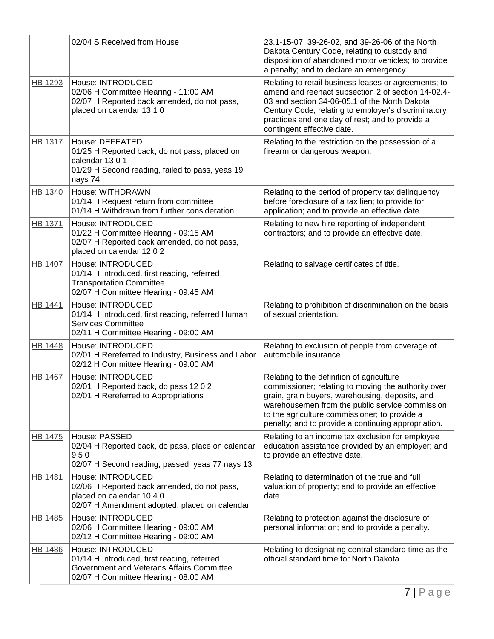|                | 02/04 S Received from House                                                                                                                           | 23.1-15-07, 39-26-02, and 39-26-06 of the North<br>Dakota Century Code, relating to custody and<br>disposition of abandoned motor vehicles; to provide<br>a penalty; and to declare an emergency.                                                                                                              |
|----------------|-------------------------------------------------------------------------------------------------------------------------------------------------------|----------------------------------------------------------------------------------------------------------------------------------------------------------------------------------------------------------------------------------------------------------------------------------------------------------------|
| HB 1293        | House: INTRODUCED<br>02/06 H Committee Hearing - 11:00 AM<br>02/07 H Reported back amended, do not pass,<br>placed on calendar 13 1 0                 | Relating to retail business leases or agreements; to<br>amend and reenact subsection 2 of section 14-02.4-<br>03 and section 34-06-05.1 of the North Dakota<br>Century Code, relating to employer's discriminatory<br>practices and one day of rest; and to provide a<br>contingent effective date.            |
| HB 1317        | House: DEFEATED<br>01/25 H Reported back, do not pass, placed on<br>calendar 1301<br>01/29 H Second reading, failed to pass, yeas 19<br>nays 74       | Relating to the restriction on the possession of a<br>firearm or dangerous weapon.                                                                                                                                                                                                                             |
| HB 1340        | House: WITHDRAWN<br>01/14 H Request return from committee<br>01/14 H Withdrawn from further consideration                                             | Relating to the period of property tax delinquency<br>before foreclosure of a tax lien; to provide for<br>application; and to provide an effective date.                                                                                                                                                       |
| HB 1371        | House: INTRODUCED<br>01/22 H Committee Hearing - 09:15 AM<br>02/07 H Reported back amended, do not pass,<br>placed on calendar 12 0 2                 | Relating to new hire reporting of independent<br>contractors; and to provide an effective date.                                                                                                                                                                                                                |
| HB 1407        | House: INTRODUCED<br>01/14 H Introduced, first reading, referred<br><b>Transportation Committee</b><br>02/07 H Committee Hearing - 09:45 AM           | Relating to salvage certificates of title.                                                                                                                                                                                                                                                                     |
| HB 1441        | House: INTRODUCED<br>01/14 H Introduced, first reading, referred Human<br><b>Services Committee</b><br>02/11 H Committee Hearing - 09:00 AM           | Relating to prohibition of discrimination on the basis<br>of sexual orientation.                                                                                                                                                                                                                               |
| HB 1448        | House: INTRODUCED<br>02/01 H Rereferred to Industry, Business and Labor<br>02/12 H Committee Hearing - 09:00 AM                                       | Relating to exclusion of people from coverage of<br>automobile insurance.                                                                                                                                                                                                                                      |
| <b>HB 1467</b> | House: INTRODUCED<br>02/01 H Reported back, do pass 12 0 2<br>02/01 H Rereferred to Appropriations                                                    | Relating to the definition of agriculture<br>commissioner; relating to moving the authority over<br>grain, grain buyers, warehousing, deposits, and<br>warehousemen from the public service commission<br>to the agriculture commissioner; to provide a<br>penalty; and to provide a continuing appropriation. |
| HB 1475        | House: PASSED<br>02/04 H Reported back, do pass, place on calendar<br>950<br>02/07 H Second reading, passed, yeas 77 nays 13                          | Relating to an income tax exclusion for employee<br>education assistance provided by an employer; and<br>to provide an effective date.                                                                                                                                                                         |
| HB 1481        | House: INTRODUCED<br>02/06 H Reported back amended, do not pass,<br>placed on calendar 10 4 0<br>02/07 H Amendment adopted, placed on calendar        | Relating to determination of the true and full<br>valuation of property; and to provide an effective<br>date.                                                                                                                                                                                                  |
| HB 1485        | House: INTRODUCED<br>02/06 H Committee Hearing - 09:00 AM<br>02/12 H Committee Hearing - 09:00 AM                                                     | Relating to protection against the disclosure of<br>personal information; and to provide a penalty.                                                                                                                                                                                                            |
| HB 1486        | House: INTRODUCED<br>01/14 H Introduced, first reading, referred<br>Government and Veterans Affairs Committee<br>02/07 H Committee Hearing - 08:00 AM | Relating to designating central standard time as the<br>official standard time for North Dakota.                                                                                                                                                                                                               |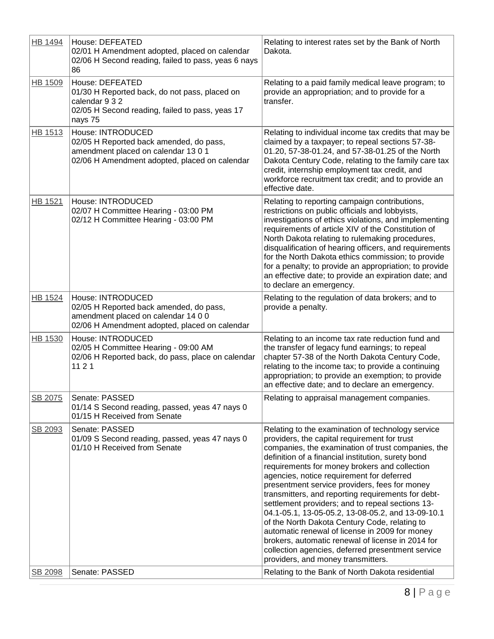| <b>HB 1494</b> | House: DEFEATED<br>02/01 H Amendment adopted, placed on calendar<br>02/06 H Second reading, failed to pass, yeas 6 nays<br>86                        | Relating to interest rates set by the Bank of North<br>Dakota.                                                                                                                                                                                                                                                                                                                                                                                                                                                                                                                                                                                                                                                                                                                 |
|----------------|------------------------------------------------------------------------------------------------------------------------------------------------------|--------------------------------------------------------------------------------------------------------------------------------------------------------------------------------------------------------------------------------------------------------------------------------------------------------------------------------------------------------------------------------------------------------------------------------------------------------------------------------------------------------------------------------------------------------------------------------------------------------------------------------------------------------------------------------------------------------------------------------------------------------------------------------|
| HB 1509        | House: DEFEATED<br>01/30 H Reported back, do not pass, placed on<br>calendar 9 3 2<br>02/05 H Second reading, failed to pass, yeas 17<br>nays 75     | Relating to a paid family medical leave program; to<br>provide an appropriation; and to provide for a<br>transfer.                                                                                                                                                                                                                                                                                                                                                                                                                                                                                                                                                                                                                                                             |
| HB 1513        | House: INTRODUCED<br>02/05 H Reported back amended, do pass,<br>amendment placed on calendar 13 0 1<br>02/06 H Amendment adopted, placed on calendar | Relating to individual income tax credits that may be<br>claimed by a taxpayer; to repeal sections 57-38-<br>01.20, 57-38-01.24, and 57-38-01.25 of the North<br>Dakota Century Code, relating to the family care tax<br>credit, internship employment tax credit, and<br>workforce recruitment tax credit; and to provide an<br>effective date.                                                                                                                                                                                                                                                                                                                                                                                                                               |
| HB 1521        | House: INTRODUCED<br>02/07 H Committee Hearing - 03:00 PM<br>02/12 H Committee Hearing - 03:00 PM                                                    | Relating to reporting campaign contributions,<br>restrictions on public officials and lobbyists,<br>investigations of ethics violations, and implementing<br>requirements of article XIV of the Constitution of<br>North Dakota relating to rulemaking procedures,<br>disqualification of hearing officers, and requirements<br>for the North Dakota ethics commission; to provide<br>for a penalty; to provide an appropriation; to provide<br>an effective date; to provide an expiration date; and<br>to declare an emergency.                                                                                                                                                                                                                                              |
| HB 1524        | House: INTRODUCED<br>02/05 H Reported back amended, do pass,<br>amendment placed on calendar 14 0 0<br>02/06 H Amendment adopted, placed on calendar | Relating to the regulation of data brokers; and to<br>provide a penalty.                                                                                                                                                                                                                                                                                                                                                                                                                                                                                                                                                                                                                                                                                                       |
| HB 1530        | House: INTRODUCED<br>02/05 H Committee Hearing - 09:00 AM<br>02/06 H Reported back, do pass, place on calendar<br>1121                               | Relating to an income tax rate reduction fund and<br>the transfer of legacy fund earnings; to repeal<br>chapter 57-38 of the North Dakota Century Code,<br>relating to the income tax; to provide a continuing<br>appropriation; to provide an exemption; to provide<br>an effective date; and to declare an emergency.                                                                                                                                                                                                                                                                                                                                                                                                                                                        |
| SB 2075        | Senate: PASSED<br>01/14 S Second reading, passed, yeas 47 nays 0<br>01/15 H Received from Senate                                                     | Relating to appraisal management companies.                                                                                                                                                                                                                                                                                                                                                                                                                                                                                                                                                                                                                                                                                                                                    |
| SB 2093        | Senate: PASSED<br>01/09 S Second reading, passed, yeas 47 nays 0<br>01/10 H Received from Senate                                                     | Relating to the examination of technology service<br>providers, the capital requirement for trust<br>companies, the examination of trust companies, the<br>definition of a financial institution, surety bond<br>requirements for money brokers and collection<br>agencies, notice requirement for deferred<br>presentment service providers, fees for money<br>transmitters, and reporting requirements for debt-<br>settlement providers; and to repeal sections 13-<br>04.1-05.1, 13-05-05.2, 13-08-05.2, and 13-09-10.1<br>of the North Dakota Century Code, relating to<br>automatic renewal of license in 2009 for money<br>brokers, automatic renewal of license in 2014 for<br>collection agencies, deferred presentment service<br>providers, and money transmitters. |
| SB 2098        | Senate: PASSED                                                                                                                                       | Relating to the Bank of North Dakota residential                                                                                                                                                                                                                                                                                                                                                                                                                                                                                                                                                                                                                                                                                                                               |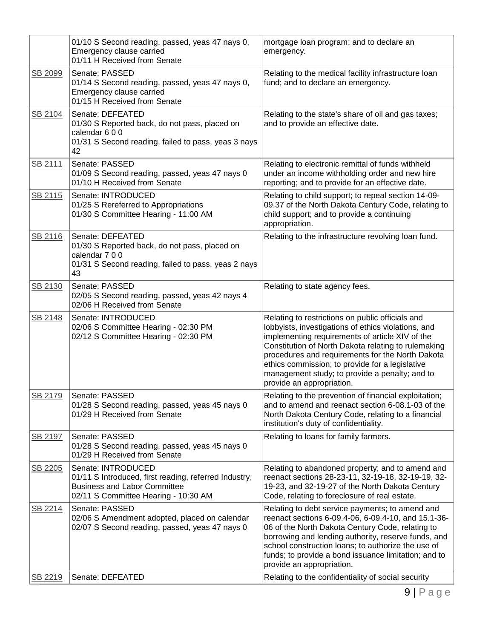|         | 01/10 S Second reading, passed, yeas 47 nays 0,<br>Emergency clause carried<br>01/11 H Received from Senate                                                | mortgage loan program; and to declare an<br>emergency.                                                                                                                                                                                                                                                                                                                                                  |
|---------|------------------------------------------------------------------------------------------------------------------------------------------------------------|---------------------------------------------------------------------------------------------------------------------------------------------------------------------------------------------------------------------------------------------------------------------------------------------------------------------------------------------------------------------------------------------------------|
| SB 2099 | Senate: PASSED<br>01/14 S Second reading, passed, yeas 47 nays 0,<br>Emergency clause carried<br>01/15 H Received from Senate                              | Relating to the medical facility infrastructure loan<br>fund; and to declare an emergency.                                                                                                                                                                                                                                                                                                              |
| SB 2104 | Senate: DEFEATED<br>01/30 S Reported back, do not pass, placed on<br>calendar 600<br>01/31 S Second reading, failed to pass, yeas 3 nays<br>42             | Relating to the state's share of oil and gas taxes;<br>and to provide an effective date.                                                                                                                                                                                                                                                                                                                |
| SB 2111 | Senate: PASSED<br>01/09 S Second reading, passed, yeas 47 nays 0<br>01/10 H Received from Senate                                                           | Relating to electronic remittal of funds withheld<br>under an income withholding order and new hire<br>reporting; and to provide for an effective date.                                                                                                                                                                                                                                                 |
| SB 2115 | Senate: INTRODUCED<br>01/25 S Rereferred to Appropriations<br>01/30 S Committee Hearing - 11:00 AM                                                         | Relating to child support; to repeal section 14-09-<br>09.37 of the North Dakota Century Code, relating to<br>child support; and to provide a continuing<br>appropriation.                                                                                                                                                                                                                              |
| SB 2116 | Senate: DEFEATED<br>01/30 S Reported back, do not pass, placed on<br>calendar 7 0 0<br>01/31 S Second reading, failed to pass, yeas 2 nays<br>43           | Relating to the infrastructure revolving loan fund.                                                                                                                                                                                                                                                                                                                                                     |
| SB 2130 | Senate: PASSED<br>02/05 S Second reading, passed, yeas 42 nays 4<br>02/06 H Received from Senate                                                           | Relating to state agency fees.                                                                                                                                                                                                                                                                                                                                                                          |
| SB 2148 | Senate: INTRODUCED<br>02/06 S Committee Hearing - 02:30 PM<br>02/12 S Committee Hearing - 02:30 PM                                                         | Relating to restrictions on public officials and<br>lobbyists, investigations of ethics violations, and<br>implementing requirements of article XIV of the<br>Constitution of North Dakota relating to rulemaking<br>procedures and requirements for the North Dakota<br>ethics commission; to provide for a legislative<br>management study; to provide a penalty; and to<br>provide an appropriation. |
| SB 2179 | Senate: PASSED<br>01/28 S Second reading, passed, yeas 45 nays 0<br>01/29 H Received from Senate                                                           | Relating to the prevention of financial exploitation;<br>and to amend and reenact section 6-08.1-03 of the<br>North Dakota Century Code, relating to a financial<br>institution's duty of confidentiality.                                                                                                                                                                                              |
| SB 2197 | Senate: PASSED<br>01/28 S Second reading, passed, yeas 45 nays 0<br>01/29 H Received from Senate                                                           | Relating to loans for family farmers.                                                                                                                                                                                                                                                                                                                                                                   |
| SB 2205 | Senate: INTRODUCED<br>01/11 S Introduced, first reading, referred Industry,<br><b>Business and Labor Committee</b><br>02/11 S Committee Hearing - 10:30 AM | Relating to abandoned property; and to amend and<br>reenact sections 28-23-11, 32-19-18, 32-19-19, 32-<br>19-23, and 32-19-27 of the North Dakota Century<br>Code, relating to foreclosure of real estate.                                                                                                                                                                                              |
| SB 2214 | Senate: PASSED<br>02/06 S Amendment adopted, placed on calendar<br>02/07 S Second reading, passed, yeas 47 nays 0                                          | Relating to debt service payments; to amend and<br>reenact sections 6-09.4-06, 6-09.4-10, and 15.1-36-<br>06 of the North Dakota Century Code, relating to<br>borrowing and lending authority, reserve funds, and<br>school construction loans; to authorize the use of<br>funds; to provide a bond issuance limitation; and to<br>provide an appropriation.                                            |
| SB 2219 | Senate: DEFEATED                                                                                                                                           | Relating to the confidentiality of social security                                                                                                                                                                                                                                                                                                                                                      |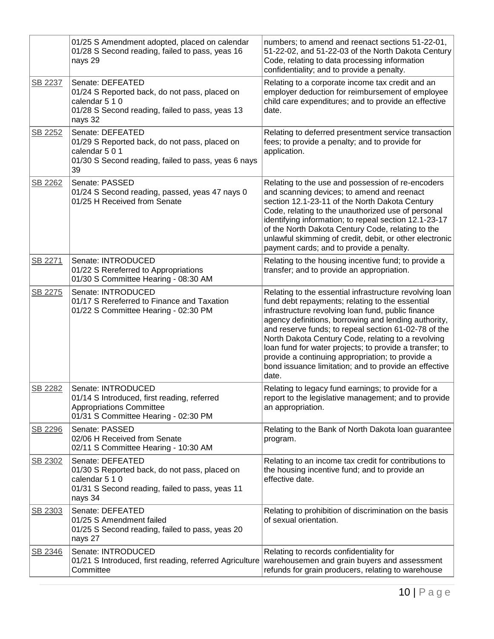|         | 01/25 S Amendment adopted, placed on calendar<br>01/28 S Second reading, failed to pass, yeas 16<br>nays 29                                       | numbers; to amend and reenact sections 51-22-01,<br>51-22-02, and 51-22-03 of the North Dakota Century<br>Code, relating to data processing information<br>confidentiality; and to provide a penalty.                                                                                                                                                                                                                                                                                                                   |
|---------|---------------------------------------------------------------------------------------------------------------------------------------------------|-------------------------------------------------------------------------------------------------------------------------------------------------------------------------------------------------------------------------------------------------------------------------------------------------------------------------------------------------------------------------------------------------------------------------------------------------------------------------------------------------------------------------|
| SB 2237 | Senate: DEFEATED<br>01/24 S Reported back, do not pass, placed on<br>calendar 5 1 0<br>01/28 S Second reading, failed to pass, yeas 13<br>nays 32 | Relating to a corporate income tax credit and an<br>employer deduction for reimbursement of employee<br>child care expenditures; and to provide an effective<br>date.                                                                                                                                                                                                                                                                                                                                                   |
| SB 2252 | Senate: DEFEATED<br>01/29 S Reported back, do not pass, placed on<br>calendar 5 0 1<br>01/30 S Second reading, failed to pass, yeas 6 nays<br>39  | Relating to deferred presentment service transaction<br>fees; to provide a penalty; and to provide for<br>application.                                                                                                                                                                                                                                                                                                                                                                                                  |
| SB 2262 | Senate: PASSED<br>01/24 S Second reading, passed, yeas 47 nays 0<br>01/25 H Received from Senate                                                  | Relating to the use and possession of re-encoders<br>and scanning devices; to amend and reenact<br>section 12.1-23-11 of the North Dakota Century<br>Code, relating to the unauthorized use of personal<br>identifying information; to repeal section 12.1-23-17<br>of the North Dakota Century Code, relating to the<br>unlawful skimming of credit, debit, or other electronic<br>payment cards; and to provide a penalty.                                                                                            |
| SB 2271 | Senate: INTRODUCED<br>01/22 S Rereferred to Appropriations<br>01/30 S Committee Hearing - 08:30 AM                                                | Relating to the housing incentive fund; to provide a<br>transfer; and to provide an appropriation.                                                                                                                                                                                                                                                                                                                                                                                                                      |
| SB 2275 | Senate: INTRODUCED<br>01/17 S Rereferred to Finance and Taxation<br>01/22 S Committee Hearing - 02:30 PM                                          | Relating to the essential infrastructure revolving loan<br>fund debt repayments; relating to the essential<br>infrastructure revolving loan fund, public finance<br>agency definitions, borrowing and lending authority,<br>and reserve funds; to repeal section 61-02-78 of the<br>North Dakota Century Code, relating to a revolving<br>loan fund for water projects; to provide a transfer; to<br>provide a continuing appropriation; to provide a<br>bond issuance limitation; and to provide an effective<br>date. |
| SB 2282 | Senate: INTRODUCED<br>01/14 S Introduced, first reading, referred<br><b>Appropriations Committee</b><br>01/31 S Committee Hearing - 02:30 PM      | Relating to legacy fund earnings; to provide for a<br>report to the legislative management; and to provide<br>an appropriation.                                                                                                                                                                                                                                                                                                                                                                                         |
| SB 2296 | Senate: PASSED<br>02/06 H Received from Senate<br>02/11 S Committee Hearing - 10:30 AM                                                            | Relating to the Bank of North Dakota loan guarantee<br>program.                                                                                                                                                                                                                                                                                                                                                                                                                                                         |
| SB 2302 | Senate: DEFEATED<br>01/30 S Reported back, do not pass, placed on<br>calendar 5 1 0<br>01/31 S Second reading, failed to pass, yeas 11<br>nays 34 | Relating to an income tax credit for contributions to<br>the housing incentive fund; and to provide an<br>effective date.                                                                                                                                                                                                                                                                                                                                                                                               |
| SB 2303 | Senate: DEFEATED<br>01/25 S Amendment failed<br>01/25 S Second reading, failed to pass, yeas 20<br>nays 27                                        | Relating to prohibition of discrimination on the basis<br>of sexual orientation.                                                                                                                                                                                                                                                                                                                                                                                                                                        |
| SB 2346 | Senate: INTRODUCED<br>01/21 S Introduced, first reading, referred Agriculture<br>Committee                                                        | Relating to records confidentiality for<br>warehousemen and grain buyers and assessment<br>refunds for grain producers, relating to warehouse                                                                                                                                                                                                                                                                                                                                                                           |